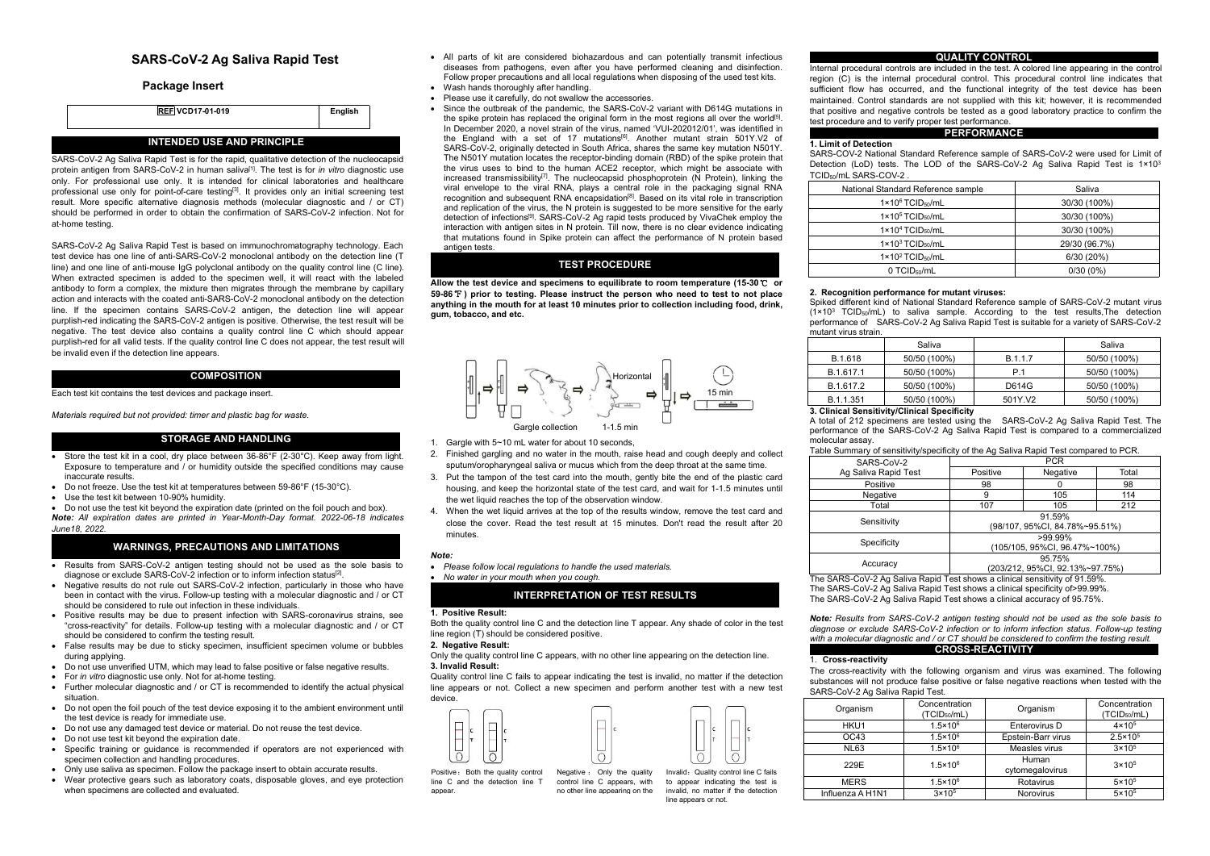# **SARS-CoV-2 Ag Saliva Rapid Test**

## **Package Insert**



# **INTENDED USE AND PRINCIPLE**

SARS-CoV-2 Ag Saliva Rapid Test is for the rapid, qualitative detection of the nucleocapsid protein antigen from SARS-CoV-2 in human saliva [1]. The test is for *in vitro* diagnostic use only. For professional use only. It is intended for clinical laboratories and healthcare professional use only for point-of-care testing<sup>[3]</sup>. It provides only an initial screening test when with result. More specific alternative diagnosis methods (molecular diagnostic and / or CT) should be performed in order to obtain the confirmation of SARS-CoV-2 infection. Not for at-home testing.

SARS-CoV-2 Ag Saliva Rapid Testis based on immunochromatography technology. Each test device has one line of anti-SARS-CoV-2 monoclonal antibody on the detection line (T line) and one line of anti-mouse IgG polyclonal antibody on the quality control line (C line). When extracted specimen is added to the specimen well, it will react with the labeled antibody to form a complex, the mixture then migrates through the membrane by capillary action and interacts with the coated anti-SARS-CoV-2 monoclonal antibody on the detection line. If the specimen contains SARS-CoV-2 antigen, the detection line will appear purplish-red indicating the SARS-CoV-2 antigen is positive. Otherwise, the test result will be negative. The test device also contains a quality control line C which should appear purplish-red for all valid tests. If the quality control line C does not appear, the test result will be invalid even if the detection line appears.

## **COMPOSITION**

Each test kit contains the test devices and package insert.

*Materials required but not provided: timer and plastic bag for waste.*

#### **STORAGE AND HANDLING**

- Store the test kit in a cool, dry place between 36-86°F (2-30°C). Keep away from light. Exposure to temperature and / or humidity outside the specified conditions may cause inaccurate results.
- Do not freeze. Use the test kit at temperatures between 59-86°F (15-30°C).
- Use the test kit between 10-90% humidity.
- Do not use the test kit beyond the expiration date (printed on the foil pouch and box). *Note: All expiration dates are printed in Year-Month-Day format. 2022-06-18 indicates June18, 2022.*

## **WARNINGS, PRECAUTIONS AND LIMITATIONS**

- Results from SARS-CoV-2 antigen testing should not be used as the sole basis to diagnose or exclude SARS-CoV-2 infection or to inform infection status<sup>[2]</sup>.
- diagnose or exclude SARS-CoV-2 infection or to inform infection status<sup>[2]</sup>.<br>• Negative results do not rule out SARS-CoV-2 infection, particularly in those who have been in contact with the virus. Follow-up testing with a molecular diagnostic and / or CT should be considered to rule out infection in these individuals.
- Positive results may be due to present infection with SARS-coronavirus strains, see "cross-reactivity" for details. Follow-up testing with a molecular diagnostic and / or CT should be considered to confirm the testing result.
- False results may be due to sticky specimen, insufficient specimen volume or bubbles during applying.
- Do not use unverified UTM, which may lead to false positive or false negative results.
- For *in vitro* diagnostic use only.Not for at-home testing.
- Further molecular diagnostic and / or CT is recommended to identify the actual physical situation.
- Do not open the foil pouch of the test device exposing it to the ambient environment until the test device is ready for immediate use.
- Do not use any damaged test device or material.Do not reuse the test device.
- Do not use test kit beyond the expiration date.
- Specific training or guidance is recommended if operators are not experienced with specimen collection and handling procedures.
- Only use saliva as specimen. Follow the package insert to obtain accurate results.
- Wear protective gears such as laboratory coats, disposable gloves, and eye protection when specimens are collected and evaluated.
- All parts of kit are considered biohazardous and can potentially transmit infectious<br>diseases from pathogens, even after you have performed cleaning and disinfection. Internal procedural controls are included in the test diseases from pathogens, even after you have performed cleaning and disinfection. Follow proper precautions and all local regulations when disposing of the used test kits.
- Wash hands thoroughly after handling.
- Please use it carefully, do not swallow the accessories.
- Since the outbreak of the pandemic, the SARS-CoV-2 variant with D614G mutations in the spike protein has replaced the original form in the most regions all over the world<sup>[5]</sup>. In December 2020, a novel strain of the virus, named 'VUI-202012/01', was identified in the England with a set of 17 mutations<sup>[6]</sup>. Another mutant strain 501Y.V2 of **1.1** imit of **p** IF Englation with a set of the mutations  $x_1$ , another mutation N501Y. The same key mutation N501Y. The same key mutation N501Y. The N501Y mutation locates the receptor-binding domain (RBD) of the spike protein that the virus uses to bind to the human ACE2 receptor, which might be associate with increased transmissibility<sup>[7]</sup>. The nucleocapsid phosphoprotein (N Protein), linking the high protein and viral envelope to the viral RNA, plays a central role in the packaging signal RNA recognition and subsequent RNA encapsidation $^{\text{\tiny{[B]}}}$ . Based on its vital role in transcription  $\hfill\Box$ and replication of the virus, the N protein is suggested to be more sensitive for the early detection of infections<sup>[9]</sup>. SARS-CoV-2 Ag rapid tests produced by VivaChek employ the **constant of the constant** interaction with antigen sites in N protein. Till now, there is no clear evidence indicating that mutations found in Spike protein can affect the performance of N protein based antigen tests.

# **TEST PROCEDURE**

**Allow the test device and specimens to equilibrate to room temperature (15-30**℃ **or 59-86**℉**) prior to testing. Please instruct the person who need to test to not place anything in the mouth for at least 10 minutes prior to collection including food, drink, gum, tobacco, and etc.**



1. Gargle with 5~10 mL water for about 10 seconds

- 2. Finished gargling and no waterin the mouth, raise head and cough deeply and collect sputum/oropharyngeal saliva or mucus which from the deep throatat the same time.
- 3. Put the tampon of the test card into the mouth, gently bite the end of the plastic card housing, and keep the horizontal state of the test card, and wait for 1-1.5 minutes until the wet liquid reaches the top of the observation window.
- 4. When the wet liquid arrives at the top of the results window, remove the test card and close the cover. Read the test result at 15 minutes. Don't read the result after 20 minutes.

*Note:*

- *Please follow local regulations to handle the used materials.*
- *No water in your mouth when you cough.*

# **INTERPRETATION OF TEST RESULTS**

#### **1. Positive Result:**

Both the quality control line C and the detection line T appear. Any shade of color in the test line region (T) should be considered positive.

# **2. Negative Result:**

Only the quality control line C appears, with no other line appearing on the detection line. **3. Invalid Result:**

Quality control line C fails to appear indicating the test is invalid, no matter if the detection line appears or not. Collect a new specimen and perform another test with a new test device.



line C and the detection line T<br>annear



test procedure and to verify proper test performance.  $r$ egion (C) is the internal procedural control. This procedural control line indicates that sufficient flow has occurred, and the functional integrity of the test device has been maintained. Control standards are not supplied with this kit; however, it is recommended that positive and negative controls be tested as a good laboratory practice to confirm the

#### **PERFORMANCE**

**1.** SARS-COV-2 National Standard Reference sample of SARS-CoV-2 were used for Limit of Detection (LoD) tests. The LOD of the SARS-CoV-2 Ag Saliva Rapid Test is  $1 \times 10^3$ 3 TCID50/mL SARS-COV-2 .

| National Standard Reference sample     | Saliva        |
|----------------------------------------|---------------|
| $1 \times 10^6$ TCID <sub>50</sub> /mL | 30/30 (100%)  |
| $1 \times 10^5$ TCID <sub>50</sub> /mL | 30/30 (100%)  |
| $1 \times 10^4$ TCID <sub>50</sub> /mL | 30/30 (100%)  |
| $1 \times 10^3$ TCID <sub>50</sub> /mL | 29/30 (96.7%) |
| $1 \times 10^2$ TCID <sub>50</sub> /mL | 6/30(20%)     |
| 0 TCID <sub>50</sub> /mL               | $0/30(0\%)$   |

## **2. Recognition performance for mutant viruses:**

Spiked different kind of National Standard Reference sample of SARS-CoV-2 mutant virus (1×10 $^3$  TCID $_{50}/$ mL) to saliva sample. According to the test results,The detection performance of SARS-CoV-2 Ag Saliva Rapid Test is suitable for a variety of SARS-CoV-2 mutant virus strain.

|           | Saliva                                                    |         | Saliva       |  |
|-----------|-----------------------------------------------------------|---------|--------------|--|
| B.1.618   | 50/50 (100%)                                              | B.1.1.7 | 50/50 (100%) |  |
| B.1.617.1 | 50/50 (100%)                                              | P.1     | 50/50 (100%) |  |
| B.1.617.2 | 50/50 (100%)                                              | D614G   | 50/50 (100%) |  |
| B.1.1.351 | 50/50 (100%)                                              | 501Y.V2 | 50/50 (100%) |  |
|           | A. Albert - J. Albert - Walter JA Herbert Albert - Walter |         |              |  |

#### **3. Clinical Sensitivity/Clinical Specificity**

A total of 212 specimens are tested using the SARS-CoV-2 Ag Saliva Rapid Test. The performance of the SARS-CoV-2 Ag Saliva Rapid Test is compared to a commercialized molecular assay.

Table Summary of sensitivity/specificity of the Ag Saliva Rapid Test compared to PCR.

| SARS-CoV-2                        | <b>PCR</b>                                  |                                     |       |  |  |  |
|-----------------------------------|---------------------------------------------|-------------------------------------|-------|--|--|--|
| Ag Saliva Rapid Test              | Positive                                    | Negative                            | Total |  |  |  |
| Positive                          | 98                                          |                                     | 98    |  |  |  |
| Negative                          |                                             | 105                                 | 114   |  |  |  |
| Total                             | 107                                         | 105                                 | 212   |  |  |  |
| Sensitivity                       | 91.59%<br>(98/107, 95%CI, 84.78%~95.51%)    |                                     |       |  |  |  |
| Specificity                       | $>99.99\%$<br>(105/105, 95%CI, 96.47%~100%) |                                     |       |  |  |  |
| Accuracy                          | 95.75%<br>(203/212, 95%CI, 92.13%~97.75%)   |                                     |       |  |  |  |
| - ---------<br>$\cdots$<br>$\sim$ |                                             | $\cdots$ $\cdots$ $\cdots$ $\cdots$ |       |  |  |  |

The SARS-CoV-2 Ag Saliva Rapid Test shows a clinical sensitivity of 91.59%. The SARS-CoV-2 Ag Saliva Rapid Test shows a clinical specificity of>99.99%.

The SARS-CoV-2 Ag Saliva Rapid Test shows a clinical accuracy of 95.75%.

*Note: Results from SARS-CoV-2 antigen testing should not be used as the sole basis to diagnose or exclude SARS-CoV-2 infection or to inform infection status. Follow-up testing with a molecular diagnostic and / or CT should be considered to confirm the testing result.* **CROSS-REACTIVITY**

#### 1. **Cross-reactivity**

The cross-reactivity with the following organism and virus was examined. The following substances will not produce false positive or false negative reactions when tested with the SARS-CoV-2 Ag Saliva Rapid Test.

| Organism         | Concentration<br>(TCID <sub>50</sub> /mL) | Organism                 | Concentration<br>(TCID <sub>50</sub> /mL) |
|------------------|-------------------------------------------|--------------------------|-------------------------------------------|
| HKU1             | $1.5 \times 10^{6}$                       | Enterovirus D            | $4 \times 10^5$                           |
| OC43             | $1.5 \times 10^{6}$                       | Epstein-Barr virus       | $2.5 \times 10^{5}$                       |
| <b>NL63</b>      | $1.5 \times 10^{6}$                       | Measles virus            | $3 \times 10^5$                           |
| 229E             | $1.5 \times 10^{6}$                       | Human<br>cytomegalovirus | $3 \times 10^5$                           |
| <b>MERS</b>      | $1.5 \times 10^{6}$                       | Rotavirus                | $5 \times 10^5$                           |
| Influenza A H1N1 | $3 \times 10^5$                           | <b>Norovirus</b>         | $5 \times 10^5$                           |

# Positive: Both the quality control Negative: Only the quality

**QUALITY CONTROL**